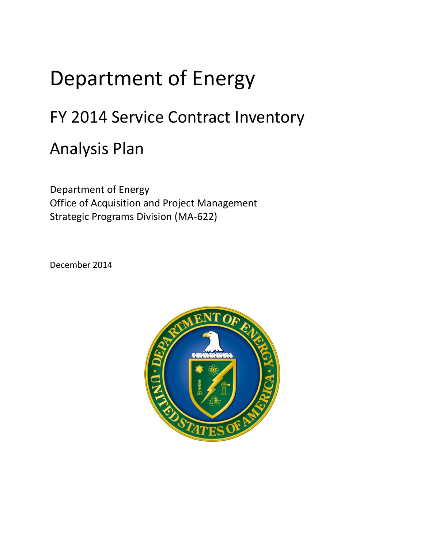## Department of Energy

## FY 2014 Service Contract Inventory

## Analysis Plan

Department of Energy Office of Acquisition and Project Management Strategic Programs Division (MA-622)

December 2014